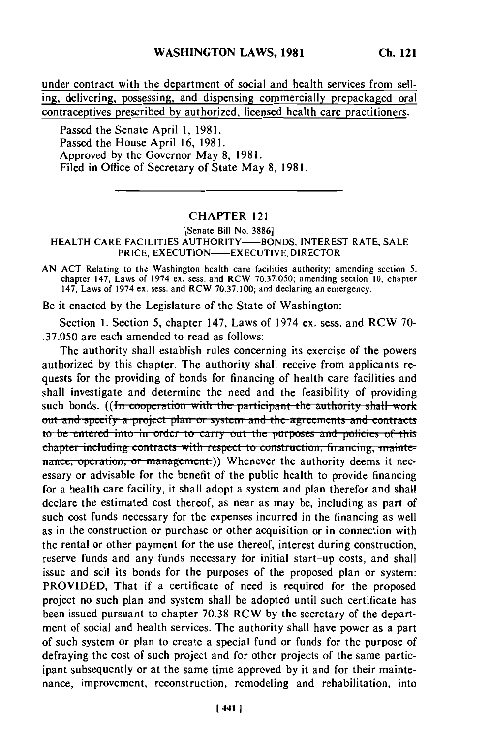under contract with the department of social and health services from selling, delivering, possessing, and dispensing commercially prepackaged oral contraceptives prescribed by authorized, licensed health care practitioners.

Passed the Senate April 1, 1981. Passed the House April 16, 1981. Approved by the Governor May 8, 1981. Filed in Office of Secretary of State May 8, 1981.

## **CHAPTER 121**

## [Senate Bill No. 3886] HEALTH CARE FACILITIES AUTHORITY-BONDS, INTEREST RATE, SALE PRICE, EXECUTION---- EXECUTIVE DIRECTOR

AN ACT Relating to the Washington health care facilities authority; amending section 5. chapter 147, Laws of 1974 ex. sess. and RCW 70.37.050; amending section 10, chapter 147, Laws of 1974 ex. sess. and RCW 70.37.100; and declaring an emergency.

Be it enacted by the Legislature of the State of Washington:

Section 1. Section 5, chapter 147, Laws of 1974 ex. sess. and RCW 70-.37.050 are each amended to read as follows:

The authority shall establish rules concerning its exercise of the powers authorized by this chapter. The authority shall receive from applicants requests for the providing of bonds for financing of health care facilities and shall investigate and determine the need and the feasibility of providing such bonds. ((In cooperation with the participant the authority shall work out and specify a project plan or system and the agreements and contracts to be entered into in order to carry out the purposes and policies of this chapter including contracts with respect to construction, financing, maintenance, operation, or management.)) Whenever the authority deems it necessary or advisable for the benefit of the public health to provide financing for a health care facility, it shall adopt a system and plan therefor and shall declare the estimated cost thereof, as near as may be, including as part of such cost funds necessary for the expenses incurred in the financing as well as in the construction or purchase or other acquisition or in connection with the rental or other payment for the use thereof, interest during construction, reserve funds and any funds necessary for initial start-up costs, and shall issue and sell its bonds for the purposes of the proposed plan or system: PROVIDED, That if a certificate of need is required for the proposed project no such plan and system shall be adopted until such certificate has been issued pursuant to chapter 70.38 RCW by the secretary of the department of social and health services. The authority shall have power as a part of such system or plan to create a special fund or funds for the purpose of defraying the cost of such project and for other projects of the same participant subsequently or at the same time approved by it and for their maintenance, improvement, reconstruction, remodeling and rehabilitation, into